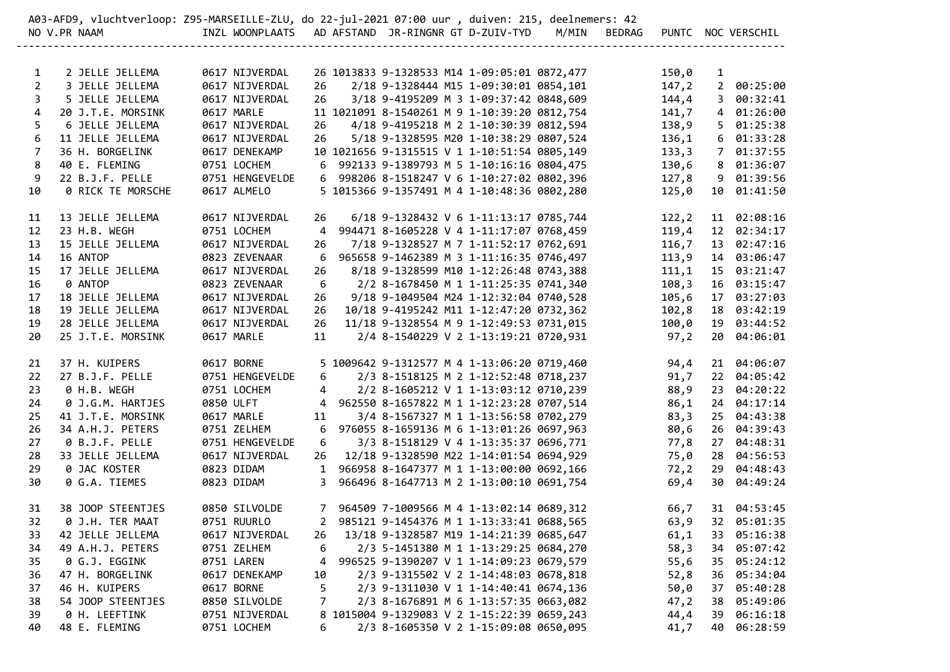|                | A03-AFD9, vluchtverloop: Z95-MARSEILLE-ZLU, do 22-jul-2021 07:00 uur , duiven: 215, deelnemers: 42 |                                                    |    |                                                                                  |  |              |               |                |                            |
|----------------|----------------------------------------------------------------------------------------------------|----------------------------------------------------|----|----------------------------------------------------------------------------------|--|--------------|---------------|----------------|----------------------------|
|                | NO V.PR NAAM                                                                                       | INZL WOONPLAATS AD AFSTAND JR-RINGNR GT D-ZUIV-TYD |    |                                                                                  |  | M/MIN BEDRAG |               |                | PUNTC NOC VERSCHIL         |
|                |                                                                                                    | -----------------------                            |    |                                                                                  |  |              |               |                |                            |
| $\mathbf{1}$   | 2 JELLE JELLEMA                                                                                    | 0617 NIJVERDAL                                     |    | 26 1013833 9-1328533 M14 1-09:05:01 0872,477                                     |  |              | 150,0         | $\mathbf{1}$   |                            |
| $\overline{2}$ | 3 JELLE JELLEMA                                                                                    | 0617 NIJVERDAL                                     | 26 | 2/18 9-1328444 M15 1-09:30:01 0854,101                                           |  |              | 147,2         | $2^{\circ}$    | 00:25:00                   |
| 3              | 5 JELLE JELLEMA                                                                                    | 0617 NIJVERDAL                                     | 26 | 3/18 9-4195209 M 3 1-09:37:42 0848,609                                           |  |              | 144,4         | $\mathbf{3}$   | 00:32:41                   |
| 4              | 20 J.T.E. MORSINK                                                                                  | 0617 MARLE                                         |    | 11 1021091 8-1540261 M 9 1-10:39:20 0812,754                                     |  |              | 141,7         | $\overline{4}$ | 01:26:00                   |
| 5              | 6 JELLE JELLEMA                                                                                    | 0617 NIJVERDAL                                     | 26 | 4/18 9-4195218 M 2 1-10:30:39 0812,594                                           |  |              | 138,9         | 5              | 01:25:38                   |
| 6              | 11 JELLE JELLEMA                                                                                   | 0617 NIJVERDAL                                     | 26 | 5/18 9-1328595 M20 1-10:38:29 0807,524                                           |  |              | 136,1         | 6              | 01:33:28                   |
| $\overline{7}$ | 36 H. BORGELINK                                                                                    | 0617 DENEKAMP                                      |    | 10 1021656 9-1315515 V 1 1-10:51:54 0805,149                                     |  |              | 133,3         | $7^{\circ}$    | 01:37:55                   |
| 8              | 40 E. FLEMING                                                                                      | 0751 LOCHEM                                        | 6  | 992133 9-1389793 M 5 1-10:16:16 0804,475                                         |  |              | 130,6         | 8              | 01:36:07                   |
| 9              | 22 B.J.F. PELLE                                                                                    | 0751 HENGEVELDE                                    |    | 6 998206 8-1518247 V 6 1-10:27:02 0802,396                                       |  |              | 127,8         | 9              | 01:39:56                   |
| 10             | 0 RICK TE MORSCHE                                                                                  | 0617 ALMELO                                        |    | 5 1015366 9-1357491 M 4 1-10:48:36 0802,280                                      |  |              | 125,0         | 10             | 01:41:50                   |
| 11             | 13 JELLE JELLEMA                                                                                   | 0617 NIJVERDAL                                     | 26 | 6/18 9-1328432 V 6 1-11:13:17 0785,744                                           |  |              | 122, 2        |                | 11 02:08:16                |
| 12             | 23 H.B. WEGH                                                                                       | 0751 LOCHEM                                        | 4  | 994471 8-1605228 V 4 1-11:17:07 0768,459                                         |  |              | 119,4         |                | 12 02:34:17                |
| 13             | 15 JELLE JELLEMA                                                                                   | 0617 NIJVERDAL                                     | 26 | 7/18 9-1328527 M 7 1-11:52:17 0762,691                                           |  |              | 116,7         |                | 13 02:47:16                |
| 14             | 16 ANTOP                                                                                           | 0823 ZEVENAAR                                      | 6  | 965658 9-1462389 M 3 1-11:16:35 0746,497                                         |  |              | 113,9         |                | 14 03:06:47                |
| 15             | 17 JELLE JELLEMA                                                                                   | 0617 NIJVERDAL                                     | 26 | 8/18 9-1328599 M10 1-12:26:48 0743,388                                           |  |              | 111,1         |                | 15 03:21:47                |
| 16             | 0 ANTOP                                                                                            | 0823 ZEVENAAR                                      | 6  | 2/2 8-1678450 M 1 1-11:25:35 0741,340                                            |  |              | 108,3         |                | 16 03:15:47                |
| 17             | 18 JELLE JELLEMA                                                                                   | 0617 NIJVERDAL                                     | 26 | 9/18 9-1049504 M24 1-12:32:04 0740,528                                           |  |              | 105,6         |                | 17 03:27:03                |
| 18             | 19 JELLE JELLEMA                                                                                   | 0617 NIJVERDAL                                     | 26 | 10/18 9-4195242 M11 1-12:47:20 0732,362                                          |  |              | 102,8         |                | 18 03:42:19                |
| 19             | 28 JELLE JELLEMA                                                                                   | 0617 NIJVERDAL                                     | 26 | 11/18 9-1328554 M 9 1-12:49:53 0731,015                                          |  |              | 100,0         |                | 19 03:44:52                |
| 20             | 25 J.T.E. MORSINK                                                                                  | 0617 MARLE                                         | 11 | 2/4 8-1540229 V 2 1-13:19:21 0720,931                                            |  |              | 97, 2         |                | 20 04:06:01                |
|                |                                                                                                    |                                                    |    |                                                                                  |  |              |               |                |                            |
| 21             | 37 H. KUIPERS                                                                                      | 0617 BORNE                                         |    | 5 1009642 9-1312577 M 4 1-13:06:20 0719,460                                      |  |              | 94,4          |                | 21 04:06:07                |
| 22             | 27 B.J.F. PELLE                                                                                    | 0751 HENGEVELDE                                    | 6  | 2/3 8-1518125 M 2 1-12:52:48 0718,237                                            |  |              | 91,7          |                | 22 04:05:42                |
| 23             | 0 H.B. WEGH                                                                                        | 0751 LOCHEM                                        | 4  | 2/2 8-1605212 V 1 1-13:03:12 0710,239                                            |  |              | 88,9          | 23             | 04:20:22                   |
| 24             | 0 J.G.M. HARTJES                                                                                   | 0850 ULFT                                          | 4  | 962550 8-1657822 M 1 1-12:23:28 0707,514                                         |  |              | 86,1          | 24             | 04:17:14                   |
| 25             | 41 J.T.E. MORSINK                                                                                  | 0617 MARLE                                         | 11 | 3/4 8-1567327 M 1 1-13:56:58 0702,279                                            |  |              | 83,3          | 25             | 04:43:38                   |
| 26             | 34 A.H.J. PETERS                                                                                   | 0751 ZELHEM                                        | 6  | 976055 8-1659136 M 6 1-13:01:26 0697,963                                         |  |              | 80,6          |                | 26 04:39:43                |
| 27             | 0 B.J.F. PELLE<br>33 JELLE JELLEMA                                                                 | 0751 HENGEVELDE<br>0617 NIJVERDAL                  | 6  | 3/3 8-1518129 V 4 1-13:35:37 0696,771<br>12/18 9-1328590 M22 1-14:01:54 0694,929 |  |              | 77,8<br>75,0  |                | 27 04:48:31<br>28 04:56:53 |
| 28<br>29       | 0 JAC KOSTER                                                                                       | 0823 DIDAM                                         | 26 | 1 966958 8-1647377 M 1 1-13:00:00 0692,166                                       |  |              |               |                | 29 04:48:43                |
| 30             | 0 G.A. TIEMES                                                                                      | 0823 DIDAM                                         |    | 3 966496 8-1647713 M 2 1-13:00:10 0691,754                                       |  |              | 72, 2<br>69,4 |                | 30 04:49:24                |
|                |                                                                                                    |                                                    |    |                                                                                  |  |              |               |                |                            |
| 31             | 38 JOOP STEENTJES                                                                                  | 0850 SILVOLDE                                      |    | 7 964509 7-1009566 M 4 1-13:02:14 0689,312                                       |  |              | 66,7          |                | 31 04:53:45                |
| 32             | 0 J.H. TER MAAT                                                                                    | 0751 RUURLO                                        |    | 2 985121 9-1454376 M 1 1-13:33:41 0688,565                                       |  |              | 63,9          |                | 32 05:01:35                |
| 33             | 42 JELLE JELLEMA                                                                                   | 0617 NIJVERDAL                                     | 26 | 13/18 9-1328587 M19 1-14:21:39 0685,647                                          |  |              | 61,1          | 33             | 05:16:38                   |
| 34             | 49 A.H.J. PETERS                                                                                   | 0751 ZELHEM                                        | 6  | 2/3 5-1451380 M 1 1-13:29:25 0684,270                                            |  |              | 58,3          | 34             | 05:07:42                   |
| 35             | 0 G.J. EGGINK                                                                                      | 0751 LAREN                                         | 4  | 996525 9-1390207 V 1 1-14:09:23 0679,579                                         |  |              | 55,6          | 35             | 05:24:12                   |
| 36             | 47 H. BORGELINK                                                                                    | 0617 DENEKAMP                                      | 10 | 2/3 9-1315502 V 2 1-14:48:03 0678,818                                            |  |              | 52,8          | 36             | 05:34:04                   |
| 37             | 46 H. KUIPERS                                                                                      | 0617 BORNE                                         | 5  | 2/3 9-1311030 V 1 1-14:40:41 0674,136                                            |  |              | 50,0          | 37             | 05:40:28                   |
| 38             | 54 JOOP STEENTJES                                                                                  | 0850 SILVOLDE                                      | 7  | 2/3 8-1676891 M 6 1-13:57:35 0663,082                                            |  |              | 47,2          | 38             | 05:49:06                   |
| 39             | 0 H. LEEFTINK                                                                                      | 0751 NIJVERDAL                                     |    | 8 1015004 9-1329083 V 2 1-15:22:39 0659,243                                      |  |              | 44,4          | 39             | 06:16:18                   |
| 40             | 48 E. FLEMING                                                                                      | 0751 LOCHEM                                        | 6  | 2/3 8-1605350 V 2 1-15:09:08 0650,095                                            |  |              | 41,7          | 40             | 06:28:59                   |